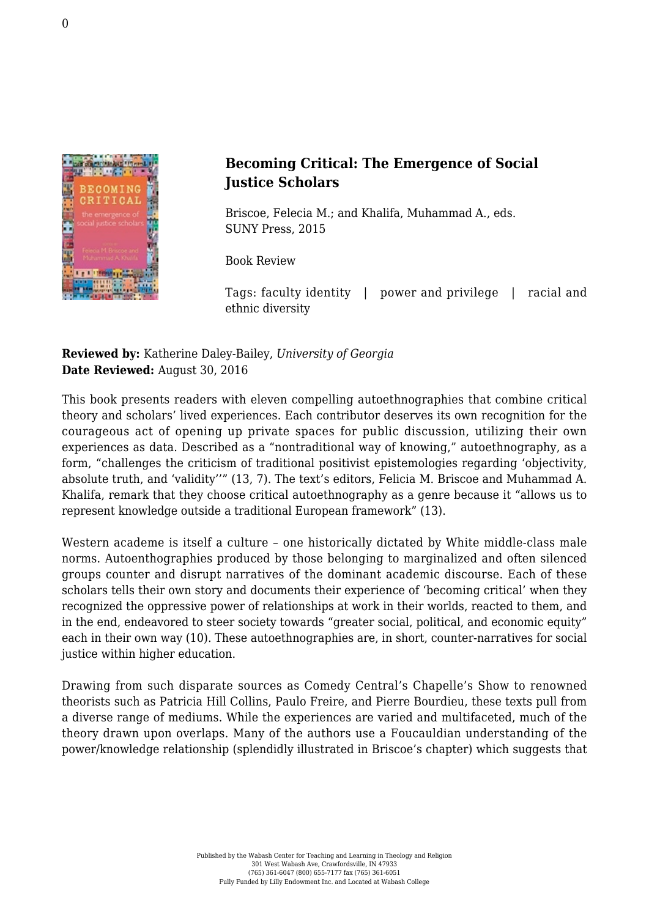

## **Becoming Critical: The Emergence of Social Justice Scholars**

Briscoe, Felecia M.; and Khalifa, Muhammad A., eds. [SUNY Press, 2015](http://www.sunypress.edu/p-6056-becoming-critical.aspx)

Book Review

Tags: faculty identity | power and privilege | racial and ethnic diversity

## **Reviewed by:** Katherine Daley-Bailey, *University of Georgia* **Date Reviewed:** August 30, 2016

This book presents readers with eleven compelling autoethnographies that combine critical theory and scholars' lived experiences. Each contributor deserves its own recognition for the courageous act of opening up private spaces for public discussion, utilizing their own experiences as data. Described as a "nontraditional way of knowing," autoethnography, as a form, "challenges the criticism of traditional positivist epistemologies regarding 'objectivity, absolute truth, and 'validity''" (13, 7). The text's editors, Felicia M. Briscoe and Muhammad A. Khalifa, remark that they choose critical autoethnography as a genre because it "allows us to represent knowledge outside a traditional European framework" (13).

Western academe is itself a culture – one historically dictated by White middle-class male norms. Autoenthographies produced by those belonging to marginalized and often silenced groups counter and disrupt narratives of the dominant academic discourse. Each of these scholars tells their own story and documents their experience of 'becoming critical' when they recognized the oppressive power of relationships at work in their worlds, reacted to them, and in the end, endeavored to steer society towards "greater social, political, and economic equity" each in their own way (10). These autoethnographies are, in short, counter-narratives for social justice within higher education.

Drawing from such disparate sources as Comedy Central's Chapelle's Show to renowned theorists such as Patricia Hill Collins, Paulo Freire, and Pierre Bourdieu, these texts pull from a diverse range of mediums. While the experiences are varied and multifaceted, much of the theory drawn upon overlaps. Many of the authors use a Foucauldian understanding of the power/knowledge relationship (splendidly illustrated in Briscoe's chapter) which suggests that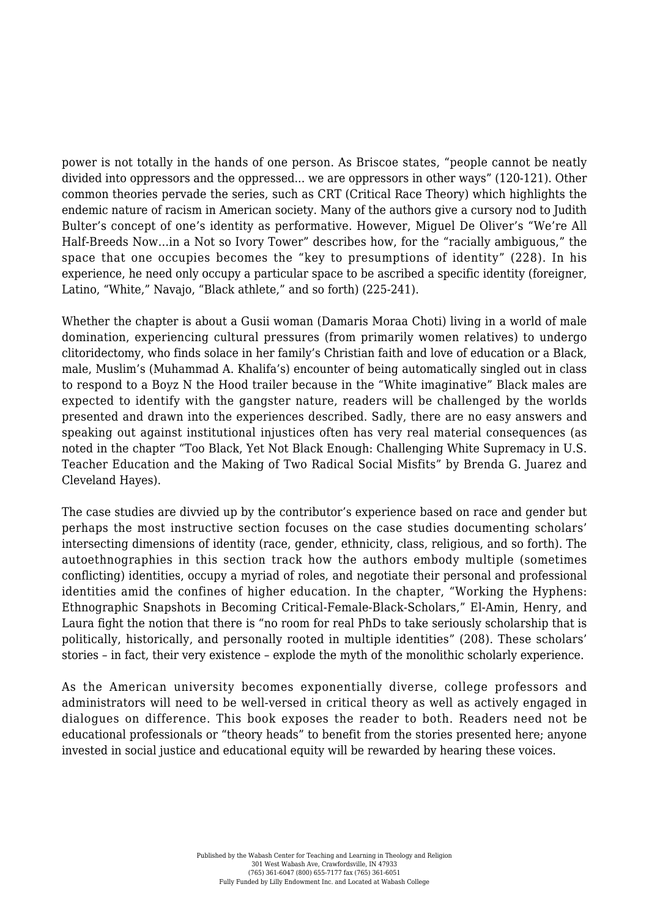power is not totally in the hands of one person. As Briscoe states, "people cannot be neatly divided into oppressors and the oppressed... we are oppressors in other ways" (120-121). Other common theories pervade the series, such as CRT (Critical Race Theory) which highlights the endemic nature of racism in American society. Many of the authors give a cursory nod to Judith Bulter's concept of one's identity as performative. However, Miguel De Oliver's "We're All Half-Breeds Now…in a Not so Ivory Tower" describes how, for the "racially ambiguous," the space that one occupies becomes the "key to presumptions of identity" (228). In his experience, he need only occupy a particular space to be ascribed a specific identity (foreigner, Latino, "White," Navajo, "Black athlete," and so forth) (225-241).

Whether the chapter is about a Gusii woman (Damaris Moraa Choti) living in a world of male domination, experiencing cultural pressures (from primarily women relatives) to undergo clitoridectomy, who finds solace in her family's Christian faith and love of education or a Black, male, Muslim's (Muhammad A. Khalifa's) encounter of being automatically singled out in class to respond to a Boyz N the Hood trailer because in the "White imaginative" Black males are expected to identify with the gangster nature, readers will be challenged by the worlds presented and drawn into the experiences described. Sadly, there are no easy answers and speaking out against institutional injustices often has very real material consequences (as noted in the chapter "Too Black, Yet Not Black Enough: Challenging White Supremacy in U.S. Teacher Education and the Making of Two Radical Social Misfits" by Brenda G. Juarez and Cleveland Hayes).

The case studies are divvied up by the contributor's experience based on race and gender but perhaps the most instructive section focuses on the case studies documenting scholars' intersecting dimensions of identity (race, gender, ethnicity, class, religious, and so forth). The autoethnographies in this section track how the authors embody multiple (sometimes conflicting) identities, occupy a myriad of roles, and negotiate their personal and professional identities amid the confines of higher education. In the chapter, "Working the Hyphens: Ethnographic Snapshots in Becoming Critical-Female-Black-Scholars," El-Amin, Henry, and Laura fight the notion that there is "no room for real PhDs to take seriously scholarship that is politically, historically, and personally rooted in multiple identities" (208). These scholars' stories – in fact, their very existence – explode the myth of the monolithic scholarly experience.

As the American university becomes exponentially diverse, college professors and administrators will need to be well-versed in critical theory as well as actively engaged in dialogues on difference. This book exposes the reader to both. Readers need not be educational professionals or "theory heads" to benefit from the stories presented here; anyone invested in social justice and educational equity will be rewarded by hearing these voices.